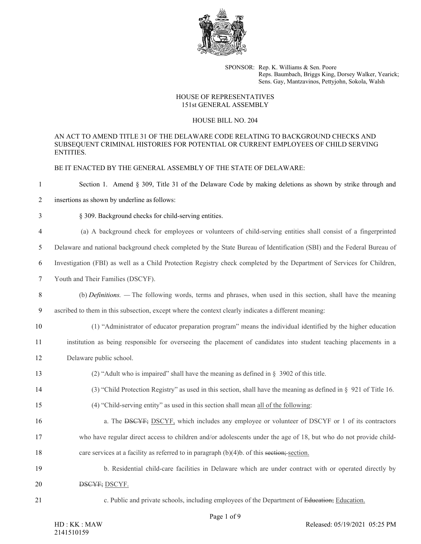

SPONSOR: Rep. K. Williams & Sen. Poore Reps. Baumbach, Briggs King, Dorsey Walker, Yearick; Sens. Gay, Mantzavinos, Pettyjohn, Sokola, Walsh

## HOUSE OF REPRESENTATIVES 151st GENERAL ASSEMBLY

## HOUSE BILL NO. 204

AN ACT TO AMEND TITLE 31 OF THE DELAWARE CODE RELATING TO BACKGROUND CHECKS AND SUBSEQUENT CRIMINAL HISTORIES FOR POTENTIAL OR CURRENT EMPLOYEES OF CHILD SERVING ENTITIES.

BE IT ENACTED BY THE GENERAL ASSEMBLY OF THE STATE OF DELAWARE:

1 Section 1. Amend § 309, Title 31 of the Delaware Code by making deletions as shown by strike through and

- 2 insertions as shown by underline as follows:
- 3 § 309. Background checks for child-serving entities.
- 4 (a) A background check for employees or volunteers of child-serving entities shall consist of a fingerprinted

5 Delaware and national background check completed by the State Bureau of Identification (SBI) and the Federal Bureau of

- 6 Investigation (FBI) as well as a Child Protection Registry check completed by the Department of Services for Children,
- 7 Youth and Their Families (DSCYF).
- 8 (b) *Definitions. —* The following words, terms and phrases, when used in this section, shall have the meaning 9 ascribed to them in this subsection, except where the context clearly indicates a different meaning:
- 

10 (1) "Administrator of educator preparation program" means the individual identified by the higher education

11 institution as being responsible for overseeing the placement of candidates into student teaching placements in a

12 Delaware public school.

- 13 (2) "Adult who is impaired" shall have the meaning as defined in § 3902 of this title.
- 14 (3) "Child Protection Registry" as used in this section, shall have the meaning as defined in § 921 of Title 16.
- 15 (4) "Child-serving entity" as used in this section shall mean all of the following:
- 16 **a.** The DSCYF; DSCYF, which includes any employee or volunteer of DSCYF or 1 of its contractors
- 17 who have regular direct access to children and/or adolescents under the age of 18, but who do not provide child-
- 18 care services at a facility as referred to in paragraph (b)(4)b. of this section; section.
- 19 b. Residential child-care facilities in Delaware which are under contract with or operated directly by
- 20 DSCYF; DSCYF.
- 
- 21 c. Public and private schools, including employees of the Department of Education; Education.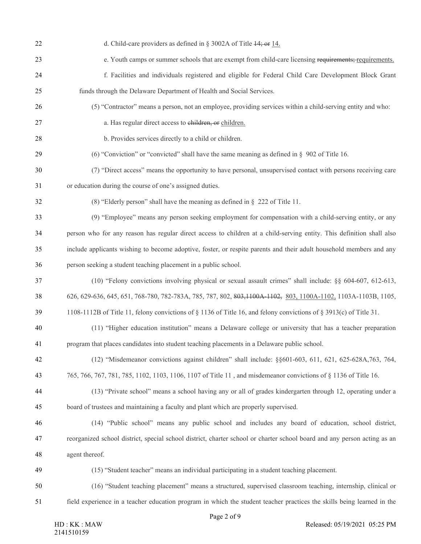| 22 | d. Child-care providers as defined in $\S$ 3002A of Title $14$ ; or 14.                                                  |
|----|--------------------------------------------------------------------------------------------------------------------------|
| 23 | e. Youth camps or summer schools that are exempt from child-care licensing requirements; requirements.                   |
| 24 | f. Facilities and individuals registered and eligible for Federal Child Care Development Block Grant                     |
| 25 | funds through the Delaware Department of Health and Social Services.                                                     |
| 26 | (5) "Contractor" means a person, not an employee, providing services within a child-serving entity and who:              |
| 27 | a. Has regular direct access to children, or children.                                                                   |
| 28 | b. Provides services directly to a child or children.                                                                    |
| 29 | (6) "Conviction" or "convicted" shall have the same meaning as defined in $\S$ 902 of Title 16.                          |
| 30 | (7) "Direct access" means the opportunity to have personal, unsupervised contact with persons receiving care             |
| 31 | or education during the course of one's assigned duties.                                                                 |
| 32 | (8) "Elderly person" shall have the meaning as defined in $\S$ 222 of Title 11.                                          |
| 33 | (9) "Employee" means any person seeking employment for compensation with a child-serving entity, or any                  |
| 34 | person who for any reason has regular direct access to children at a child-serving entity. This definition shall also    |
| 35 | include applicants wishing to become adoptive, foster, or respite parents and their adult household members and any      |
| 36 | person seeking a student teaching placement in a public school.                                                          |
| 37 | (10) "Felony convictions involving physical or sexual assault crimes" shall include: §§ 604-607, 612-613,                |
| 38 | 626, 629-636, 645, 651, 768-780, 782-783A, 785, 787, 802, 803, 1100A-1102, 803, 1100A-1102, 1103A-1103B, 1105,           |
| 39 | 1108-1112B of Title 11, felony convictions of $\S$ 1136 of Title 16, and felony convictions of $\S$ 3913(c) of Title 31. |
| 40 | (11) "Higher education institution" means a Delaware college or university that has a teacher preparation                |
| 41 | program that places candidates into student teaching placements in a Delaware public school.                             |
| 42 | (12) "Misdemeanor convictions against children" shall include: §§601-603, 611, 621, 625-628A,763, 764,                   |
| 43 | 765, 766, 767, 781, 785, 1102, 1103, 1106, 1107 of Title 11, and misdemeanor convictions of § 1136 of Title 16.          |
| 44 | (13) "Private school" means a school having any or all of grades kindergarten through 12, operating under a              |
| 45 | board of trustees and maintaining a faculty and plant which are properly supervised.                                     |
| 46 | (14) "Public school" means any public school and includes any board of education, school district,                       |
| 47 | reorganized school district, special school district, charter school or charter school board and any person acting as an |
| 48 | agent thereof.                                                                                                           |
| 49 | (15) "Student teacher" means an individual participating in a student teaching placement.                                |
| 50 | (16) "Student teaching placement" means a structured, supervised classroom teaching, internship, clinical or             |
| 51 | field experience in a teacher education program in which the student teacher practices the skills being learned in the   |
|    | Page 2 of 9                                                                                                              |

age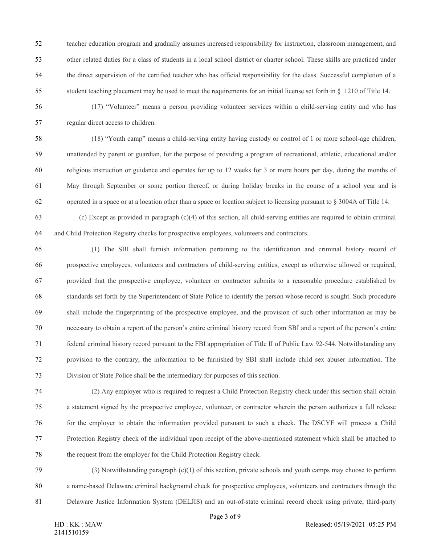teacher education program and gradually assumes increased responsibility for instruction, classroom management, and other related duties for a class of students in a local school district or charter school. These skills are practiced under the direct supervision of the certified teacher who has official responsibility for the class. Successful completion of a student teaching placement may be used to meet the requirements for an initial license set forth in § 1210 of Title 14.

 (17) "Volunteer" means a person providing volunteer services within a child-serving entity and who has regular direct access to children.

 (18) "Youth camp" means a child-serving entity having custody or control of 1 or more school-age children, unattended by parent or guardian, for the purpose of providing a program of recreational, athletic, educational and/or religious instruction or guidance and operates for up to 12 weeks for 3 or more hours per day, during the months of May through September or some portion thereof, or during holiday breaks in the course of a school year and is operated in a space or at a location other than a space or location subject to licensing pursuant to § 3004A of Title 14.

63 (c) Except as provided in paragraph  $(c)(4)$  of this section, all child-serving entities are required to obtain criminal and Child Protection Registry checks for prospective employees, volunteers and contractors.

 (1) The SBI shall furnish information pertaining to the identification and criminal history record of prospective employees, volunteers and contractors of child-serving entities, except as otherwise allowed or required, provided that the prospective employee, volunteer or contractor submits to a reasonable procedure established by standards set forth by the Superintendent of State Police to identify the person whose record is sought. Such procedure shall include the fingerprinting of the prospective employee, and the provision of such other information as may be necessary to obtain a report of the person's entire criminal history record from SBI and a report of the person's entire federal criminal history record pursuant to the FBI appropriation of Title II of Public Law 92-544. Notwithstanding any provision to the contrary, the information to be furnished by SBI shall include child sex abuser information. The Division of State Police shall be the intermediary for purposes of this section.

 (2) Any employer who is required to request a Child Protection Registry check under this section shall obtain a statement signed by the prospective employee, volunteer, or contractor wherein the person authorizes a full release for the employer to obtain the information provided pursuant to such a check. The DSCYF will process a Child Protection Registry check of the individual upon receipt of the above-mentioned statement which shall be attached to the request from the employer for the Child Protection Registry check.

 (3) Notwithstanding paragraph (c)(1) of this section, private schools and youth camps may choose to perform a name-based Delaware criminal background check for prospective employees, volunteers and contractors through the Delaware Justice Information System (DELJIS) and an out-of-state criminal record check using private, third-party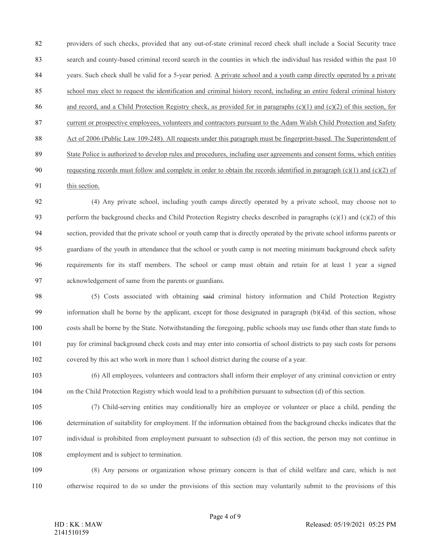providers of such checks, provided that any out-of-state criminal record check shall include a Social Security trace search and county-based criminal record search in the counties in which the individual has resided within the past 10 84 years. Such check shall be valid for a 5-year period. A private school and a youth camp directly operated by a private school may elect to request the identification and criminal history record, including an entire federal criminal history 86 and record, and a Child Protection Registry check, as provided for in paragraphs  $(c)(1)$  and  $(c)(2)$  of this section, for current or prospective employees, volunteers and contractors pursuant to the Adam Walsh Child Protection and Safety 88 Act of 2006 (Public Law 109-248). All requests under this paragraph must be fingerprint-based. The Superintendent of State Police is authorized to develop rules and procedures, including user agreements and consent forms, which entities 90 requesting records must follow and complete in order to obtain the records identified in paragraph (c)(1) and (c)(2) of this section.

 (4) Any private school, including youth camps directly operated by a private school, may choose not to 93 perform the background checks and Child Protection Registry checks described in paragraphs  $(c)(1)$  and  $(c)(2)$  of this section, provided that the private school or youth camp that is directly operated by the private school informs parents or guardians of the youth in attendance that the school or youth camp is not meeting minimum background check safety requirements for its staff members. The school or camp must obtain and retain for at least 1 year a signed acknowledgement of same from the parents or guardians.

- 98 (5) Costs associated with obtaining said criminal history information and Child Protection Registry 99 information shall be borne by the applicant, except for those designated in paragraph  $(b)(4)d$ . of this section, whose costs shall be borne by the State. Notwithstanding the foregoing, public schools may use funds other than state funds to pay for criminal background check costs and may enter into consortia of school districts to pay such costs for persons covered by this act who work in more than 1 school district during the course of a year.
- (6) All employees, volunteers and contractors shall inform their employer of any criminal conviction or entry on the Child Protection Registry which would lead to a prohibition pursuant to subsection (d) of this section.
- (7) Child-serving entities may conditionally hire an employee or volunteer or place a child, pending the determination of suitability for employment. If the information obtained from the background checks indicates that the individual is prohibited from employment pursuant to subsection (d) of this section, the person may not continue in employment and is subject to termination.

 (8) Any persons or organization whose primary concern is that of child welfare and care, which is not otherwise required to do so under the provisions of this section may voluntarily submit to the provisions of this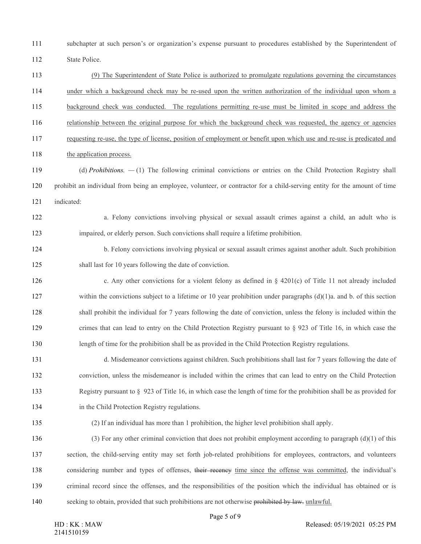subchapter at such person's or organization's expense pursuant to procedures established by the Superintendent of State Police.

 (9) The Superintendent of State Police is authorized to promulgate regulations governing the circumstances under which a background check may be re-used upon the written authorization of the individual upon whom a background check was conducted. The regulations permitting re-use must be limited in scope and address the relationship between the original purpose for which the background check was requested, the agency or agencies requesting re-use, the type of license, position of employment or benefit upon which use and re-use is predicated and 118 the application process. (d) *Prohibitions. —* (1) The following criminal convictions or entries on the Child Protection Registry shall

 prohibit an individual from being an employee, volunteer, or contractor for a child-serving entity for the amount of time indicated:

 a. Felony convictions involving physical or sexual assault crimes against a child, an adult who is impaired, or elderly person. Such convictions shall require a lifetime prohibition.

 b. Felony convictions involving physical or sexual assault crimes against another adult. Such prohibition 125 shall last for 10 years following the date of conviction.

126 c. Any other convictions for a violent felony as defined in § 4201(c) of Title 11 not already included 127 within the convictions subject to a lifetime or 10 year prohibition under paragraphs (d)(1)a. and b. of this section shall prohibit the individual for 7 years following the date of conviction, unless the felony is included within the crimes that can lead to entry on the Child Protection Registry pursuant to § 923 of Title 16, in which case the length of time for the prohibition shall be as provided in the Child Protection Registry regulations.

 d. Misdemeanor convictions against children. Such prohibitions shall last for 7 years following the date of conviction, unless the misdemeanor is included within the crimes that can lead to entry on the Child Protection Registry pursuant to § 923 of Title 16, in which case the length of time for the prohibition shall be as provided for in the Child Protection Registry regulations.

(2) If an individual has more than 1 prohibition, the higher level prohibition shall apply.

 (3) For any other criminal conviction that does not prohibit employment according to paragraph (d)(1) of this section, the child-serving entity may set forth job-related prohibitions for employees, contractors, and volunteers 138 considering number and types of offenses, their recency time since the offense was committed, the individual's criminal record since the offenses, and the responsibilities of the position which the individual has obtained or is 140 seeking to obtain, provided that such prohibitions are not otherwise prohibited by law. unlawful.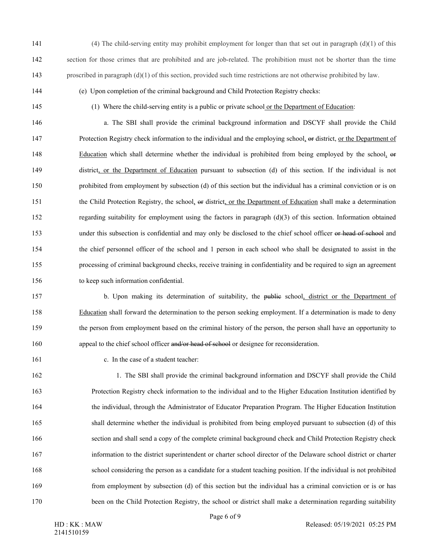- 141 (4) The child-serving entity may prohibit employment for longer than that set out in paragraph (d)(1) of this 142 section for those crimes that are prohibited and are job-related. The prohibition must not be shorter than the time 143 proscribed in paragraph (d)(1) of this section, provided such time restrictions are not otherwise prohibited by law.
- 

144 (e) Upon completion of the criminal background and Child Protection Registry checks:

145 (1) Where the child-serving entity is a public or private school or the Department of Education:

146 a. The SBI shall provide the criminal background information and DSCYF shall provide the Child 147 Protection Registry check information to the individual and the employing school, or district, or the Department of 148 Education which shall determine whether the individual is prohibited from being employed by the school, or 149 district, or the Department of Education pursuant to subsection (d) of this section. If the individual is not 150 prohibited from employment by subsection (d) of this section but the individual has a criminal conviction or is on 151 the Child Protection Registry, the school, or district, or the Department of Education shall make a determination 152 regarding suitability for employment using the factors in paragraph (d)(3) of this section. Information obtained 153 under this subsection is confidential and may only be disclosed to the chief school officer or head of school and 154 the chief personnel officer of the school and 1 person in each school who shall be designated to assist in the 155 processing of criminal background checks, receive training in confidentiality and be required to sign an agreement 156 to keep such information confidential.

- 157 b. Upon making its determination of suitability, the public school, district or the Department of 158 Education shall forward the determination to the person seeking employment. If a determination is made to deny 159 the person from employment based on the criminal history of the person, the person shall have an opportunity to 160 appeal to the chief school officer and/or head of school or designee for reconsideration.
- 

161 c. In the case of a student teacher:

162 1. The SBI shall provide the criminal background information and DSCYF shall provide the Child 163 Protection Registry check information to the individual and to the Higher Education Institution identified by 164 the individual, through the Administrator of Educator Preparation Program. The Higher Education Institution 165 shall determine whether the individual is prohibited from being employed pursuant to subsection (d) of this 166 section and shall send a copy of the complete criminal background check and Child Protection Registry check 167 information to the district superintendent or charter school director of the Delaware school district or charter 168 school considering the person as a candidate for a student teaching position. If the individual is not prohibited 169 from employment by subsection (d) of this section but the individual has a criminal conviction or is or has 170 been on the Child Protection Registry, the school or district shall make a determination regarding suitability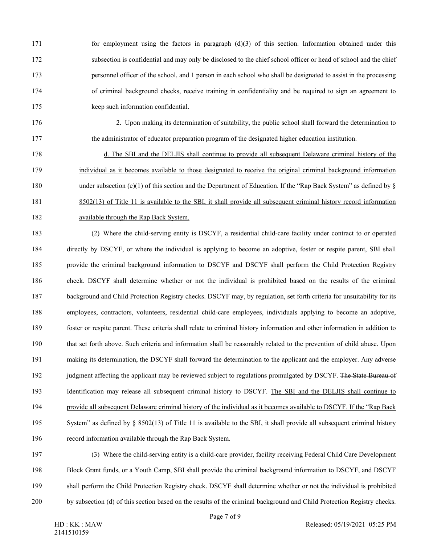- 171 for employment using the factors in paragraph (d)(3) of this section. Information obtained under this 172 subsection is confidential and may only be disclosed to the chief school officer or head of school and the chief 173 personnel officer of the school, and 1 person in each school who shall be designated to assist in the processing 174 of criminal background checks, receive training in confidentiality and be required to sign an agreement to 175 keep such information confidential.
- 176 2. Upon making its determination of suitability, the public school shall forward the determination to 177 the administrator of educator preparation program of the designated higher education institution.
- 178 d. The SBI and the DELJIS shall continue to provide all subsequent Delaware criminal history of the 179 individual as it becomes available to those designated to receive the original criminal background information 180 under subsection (e)(1) of this section and the Department of Education. If the "Rap Back System" as defined by  $\S$ 181 8502(13) of Title 11 is available to the SBI, it shall provide all subsequent criminal history record information 182 available through the Rap Back System.
- 183 (2) Where the child-serving entity is DSCYF, a residential child-care facility under contract to or operated 184 directly by DSCYF, or where the individual is applying to become an adoptive, foster or respite parent, SBI shall 185 provide the criminal background information to DSCYF and DSCYF shall perform the Child Protection Registry 186 check. DSCYF shall determine whether or not the individual is prohibited based on the results of the criminal 187 background and Child Protection Registry checks. DSCYF may, by regulation, set forth criteria for unsuitability for its 188 employees, contractors, volunteers, residential child-care employees, individuals applying to become an adoptive, 189 foster or respite parent. These criteria shall relate to criminal history information and other information in addition to 190 that set forth above. Such criteria and information shall be reasonably related to the prevention of child abuse. Upon 191 making its determination, the DSCYF shall forward the determination to the applicant and the employer. Any adverse 192 judgment affecting the applicant may be reviewed subject to regulations promulgated by DSCYF. The State Bureau of 193 Identification may release all subsequent criminal history to DSCYF. The SBI and the DELJIS shall continue to 194 provide all subsequent Delaware criminal history of the individual as it becomes available to DSCYF. If the "Rap Back 195 System" as defined by § 8502(13) of Title 11 is available to the SBI, it shall provide all subsequent criminal history 196 record information available through the Rap Back System. 197 (3) Where the child-serving entity is a child-care provider, facility receiving Federal Child Care Development
- 198 Block Grant funds, or a Youth Camp, SBI shall provide the criminal background information to DSCYF, and DSCYF 199 shall perform the Child Protection Registry check. DSCYF shall determine whether or not the individual is prohibited 200 by subsection (d) of this section based on the results of the criminal background and Child Protection Registry checks.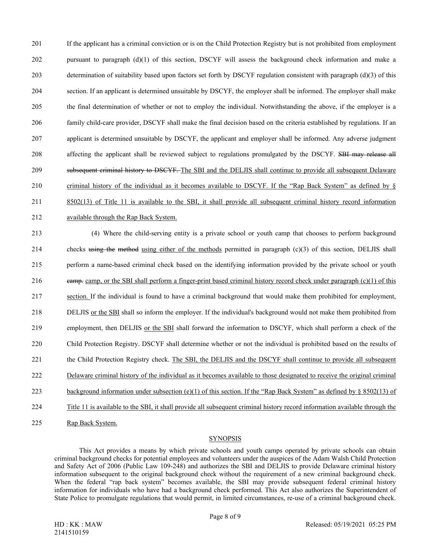201 If the applicant has a criminal conviction or is on the Child Protection Registry but is not prohibited from employment 202 pursuant to paragraph (d)(1) of this section, DSCYF will assess the background check information and make a 203 determination of suitability based upon factors set forth by DSCYF regulation consistent with paragraph (d)(3) of this 204 section. If an applicant is determined unsuitable by DSCYF, the employer shall be informed. The employer shall make 205 the final determination of whether or not to employ the individual. Notwithstanding the above, if the employer is a 206 family child-care provider, DSCYF shall make the final decision based on the criteria established by regulations. If an 207 applicant is determined unsuitable by DSCYF, the applicant and employer shall be informed. Any adverse judgment 208 affecting the applicant shall be reviewed subject to regulations promulgated by the DSCYF. SBI may release all 209 subsequent criminal history to DSCYF. The SBI and the DELJIS shall continue to provide all subsequent Delaware 210 criminal history of the individual as it becomes available to DSCYF. If the "Rap Back System" as defined by § 211 8502(13) of Title 11 is available to the SBI, it shall provide all subsequent criminal history record information 212 available through the Rap Back System.

213 (4) Where the child-serving entity is a private school or youth camp that chooses to perform background 214 checks using the method using either of the methods permitted in paragraph (c)(3) of this section, DELJIS shall 215 perform a name-based criminal check based on the identifying information provided by the private school or youth 216 camp. camp, or the SBI shall perform a finger-print based criminal history record check under paragraph  $(c)(1)$  of this 217 section. If the individual is found to have a criminal background that would make them prohibited for employment, 218 DELJIS or the SBI shall so inform the employer. If the individual's background would not make them prohibited from 219 employment, then DELJIS or the SBI shall forward the information to DSCYF, which shall perform a check of the 220 Child Protection Registry. DSCYF shall determine whether or not the individual is prohibited based on the results of 221 the Child Protection Registry check. The SBI, the DELJIS and the DSCYF shall continue to provide all subsequent 222 Delaware criminal history of the individual as it becomes available to those designated to receive the original criminal 223 background information under subsection (e)(1) of this section. If the "Rap Back System" as defined by  $\S$  8502(13) of 224 Title 11 is available to the SBI, it shall provide all subsequent criminal history record information available through the

225 Rap Back System.

## **SYNOPSIS**

This Act provides a means by which private schools and youth camps operated by private schools can obtain criminal background checks for potential employees and volunteers under the auspices of the Adam Walsh Child Protection and Safety Act of 2006 (Public Law 109-248) and authorizes the SBI and DELJIS to provide Delaware criminal history information subsequent to the original background check without the requirement of a new criminal background check. When the federal "rap back system" becomes available, the SBI may provide subsequent federal criminal history information for individuals who have had a background check performed. This Act also authorizes the Superintendent of State Police to promulgate regulations that would permit, in limited circumstances, re-use of a criminal background check.